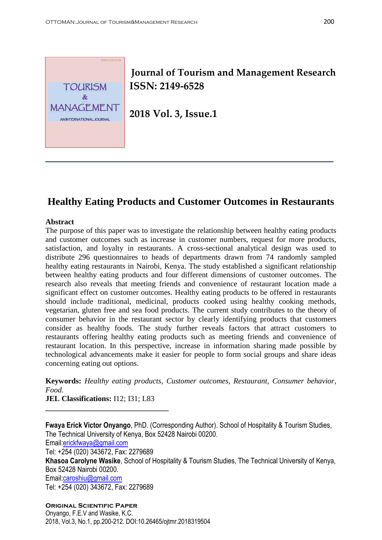

# **Journal of Tourism and Management Research ISSN: 2149-6528**

**2018 Vol. 3, Issue.1**

# **Healthy Eating Products and Customer Outcomes in Restaurants**

### **Abstract**

The purpose of this paper was to investigate the relationship between healthy eating products and customer outcomes such as increase in customer numbers, request for more products, satisfaction, and loyalty in restaurants. A cross-sectional analytical design was used to distribute 296 questionnaires to heads of departments drawn from 74 randomly sampled healthy eating restaurants in Nairobi, Kenya. The study established a significant relationship between healthy eating products and four different dimensions of customer outcomes. The research also reveals that meeting friends and convenience of restaurant location made a significant effect on customer outcomes. Healthy eating products to be offered in restaurants should include traditional, medicinal, products cooked using healthy cooking methods, vegetarian, gluten free and sea food products. The current study contributes to the theory of consumer behavior in the restaurant sector by clearly identifying products that customers consider as healthy foods. The study further reveals factors that attract customers to restaurants offering healthy eating products such as meeting friends and convenience of restaurant location. In this perspective, increase in information sharing made possible by technological advancements make it easier for people to form social groups and share ideas concerning eating out options.

**Keywords:** *Healthy eating products, Customer outcomes, Restaurant, Consumer behavior, Food.*

**JEL Classifications:** I12; I31; L83

**\_\_\_\_\_\_\_\_\_\_\_\_\_\_\_\_\_\_\_\_\_\_\_\_\_\_\_\_\_\_\_\_**

**Fwaya Erick Victor Onyango**, PhD. (Corresponding Author). School of Hospitality & Tourism Studies, The Technical University of Kenya, Box 52428 Nairobi 00200. Email[:erickfwaya@gmail.com](mailto:erickfwaya@gmail.com) Tel: +254 (020) 343672, Fax: 2279689 **Khasoa Carolyne Wasike**, School of Hospitality & Tourism Studies, The Technical University of Kenya, Box 52428 Nairobi 00200. Email[:caroshiu@gmail.com](mailto:caroshiu@gmail.com) Tel: +254 (020) 343672, Fax: 2279689

**Original Scientific Paper** Onyango, F.E.V and Wasike, K.C. 2018, Vol.3, No.1, pp.200-212. DOI:10.26465/ojtmr.2018319504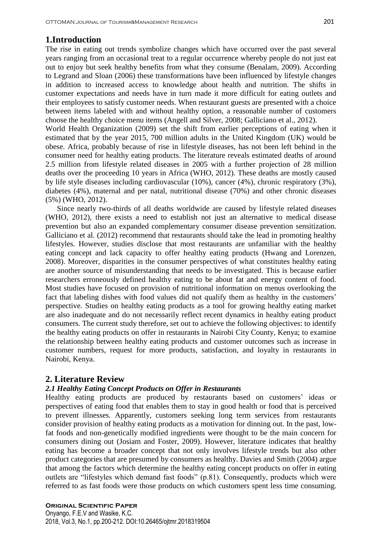### **1.Introduction**

The rise in eating out trends symbolize changes which have occurred over the past several years ranging from an occasional treat to a regular occurrence whereby people do not just eat out to enjoy but seek healthy benefits from what they consume (Benalam, 2009). According to Legrand and Sloan (2006) these transformations have been influenced by lifestyle changes in addition to increased access to knowledge about health and nutrition. The shifts in customer expectations and needs have in turn made it more difficult for eating outlets and their employees to satisfy customer needs. When restaurant guests are presented with a choice between items labeled with and without healthy option, a reasonable number of customers choose the healthy choice menu items (Angell and Silver, 2008; Galliciano et al., 2012).

World Health Organization (2009) set the shift from earlier perceptions of eating when it estimated that by the year 2015, 700 million adults in the United Kingdom (UK) would be obese. Africa, probably because of rise in lifestyle diseases, has not been left behind in the consumer need for healthy eating products. The literature reveals estimated deaths of around 2.5 million from lifestyle related diseases in 2005 with a further projection of 28 million deaths over the proceeding 10 years in Africa (WHO, 2012). These deaths are mostly caused by life style diseases including cardiovascular (10%), cancer (4%), chronic respiratory (3%), diabetes (4%), maternal and per natal, nutritional disease (70%) and other chronic diseases (5%) (WHO, 2012).

 Since nearly two-thirds of all deaths worldwide are caused by lifestyle related diseases (WHO, 2012), there exists a need to establish not just an alternative to medical disease prevention but also an expanded complementary consumer disease prevention sensitization. Galliciano et al. (2012) recommend that restaurants should take the lead in promoting healthy lifestyles. However, studies disclose that most restaurants are unfamiliar with the healthy eating concept and lack capacity to offer healthy eating products (Hwang and Lorenzen, 2008). Moreover, disparities in the consumer perspectives of what constitutes healthy eating are another source of misunderstanding that needs to be investigated. This is because earlier researchers erroneously defined healthy eating to be about fat and energy content of food. Most studies have focused on provision of nutritional information on menus overlooking the fact that labeling dishes with food values did not qualify them as healthy in the customers' perspective. Studies on healthy eating products as a tool for growing healthy eating market are also inadequate and do not necessarily reflect recent dynamics in healthy eating product consumers. The current study therefore, set out to achieve the following objectives: to identify the healthy eating products on offer in restaurants in Nairobi City County, Kenya; to examine the relationship between healthy eating products and customer outcomes such as increase in customer numbers, request for more products, satisfaction, and loyalty in restaurants in Nairobi, Kenya.

### **2. Literature Review**

#### *2.1 Healthy Eating Concept Products on Offer in Restaurants*

Healthy eating products are produced by restaurants based on customers' ideas or perspectives of eating food that enables them to stay in good health or food that is perceived to prevent illnesses. Apparently, customers seeking long term services from restaurants consider provision of healthy eating products as a motivation for dinning out. In the past, lowfat foods and non-genetically modified ingredients were thought to be the main concern for consumers dining out (Josiam and Foster, 2009). However, literature indicates that healthy eating has become a broader concept that not only involves lifestyle trends but also other product categories that are presumed by consumers as healthy. Davies and Smith (2004) argue that among the factors which determine the healthy eating concept products on offer in eating outlets are "lifestyles which demand fast foods" (p.81). Consequently, products which were referred to as fast foods were those products on which customers spent less time consuming.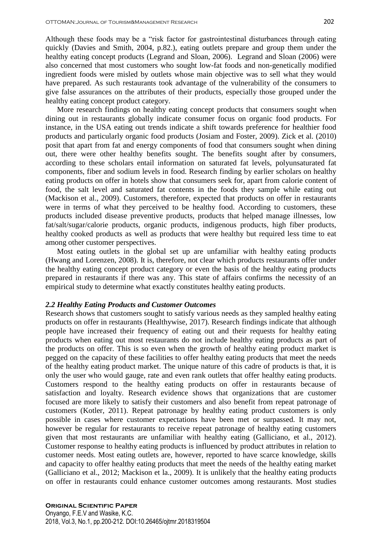Although these foods may be a "risk factor for gastrointestinal disturbances through eating quickly (Davies and Smith, 2004, p.82.), eating outlets prepare and group them under the healthy eating concept products (Legrand and Sloan, 2006). Legrand and Sloan (2006) were also concerned that most customers who sought low-fat foods and non-genetically modified ingredient foods were misled by outlets whose main objective was to sell what they would have prepared. As such restaurants took advantage of the vulnerability of the consumers to give false assurances on the attributes of their products, especially those grouped under the healthy eating concept product category.

 More research findings on healthy eating concept products that consumers sought when dining out in restaurants globally indicate consumer focus on organic food products. For instance, in the USA eating out trends indicate a shift towards preference for healthier food products and particularly organic food products (Josiam and Foster, 2009). Zick et al. (2010) posit that apart from fat and energy components of food that consumers sought when dining out, there were other healthy benefits sought. The benefits sought after by consumers, according to these scholars entail information on saturated fat levels, polyunsaturated fat components, fiber and sodium levels in food. Research finding by earlier scholars on healthy eating products on offer in hotels show that consumers seek for, apart from calorie content of food, the salt level and saturated fat contents in the foods they sample while eating out (Mackison et al., 2009). Customers, therefore, expected that products on offer in restaurants were in terms of what they perceived to be healthy food. According to customers, these products included disease preventive products, products that helped manage illnesses, low fat/salt/sugar/calorie products, organic products, indigenous products, high fiber products, healthy cooked products as well as products that were healthy but required less time to eat among other customer perspectives.

 Most eating outlets in the global set up are unfamiliar with healthy eating products (Hwang and Lorenzen, 2008). It is, therefore, not clear which products restaurants offer under the healthy eating concept product category or even the basis of the healthy eating products prepared in restaurants if there was any. This state of affairs confirms the necessity of an empirical study to determine what exactly constitutes healthy eating products.

#### *2.2 Healthy Eating Products and Customer Outcomes*

Research shows that customers sought to satisfy various needs as they sampled healthy eating products on offer in restaurants (Healthywise, 2017). Research findings indicate that although people have increased their frequency of eating out and their requests for healthy eating products when eating out most restaurants do not include healthy eating products as part of the products on offer. This is so even when the growth of healthy eating product market is pegged on the capacity of these facilities to offer healthy eating products that meet the needs of the healthy eating product market. The unique nature of this cadre of products is that, it is only the user who would gauge, rate and even rank outlets that offer healthy eating products. Customers respond to the healthy eating products on offer in restaurants because of satisfaction and loyalty. Research evidence shows that organizations that are customer focused are more likely to satisfy their customers and also benefit from repeat patronage of customers (Kotler, 2011). Repeat patronage by healthy eating product customers is only possible in cases where customer expectations have been met or surpassed. It may not, however be regular for restaurants to receive repeat patronage of healthy eating customers given that most restaurants are unfamiliar with healthy eating (Galliciano, et al., 2012). Customer response to healthy eating products is influenced by product attributes in relation to customer needs. Most eating outlets are, however, reported to have scarce knowledge, skills and capacity to offer healthy eating products that meet the needs of the healthy eating market (Galliciano et al., 2012; Mackison et la., 2009). It is unlikely that the healthy eating products on offer in restaurants could enhance customer outcomes among restaurants. Most studies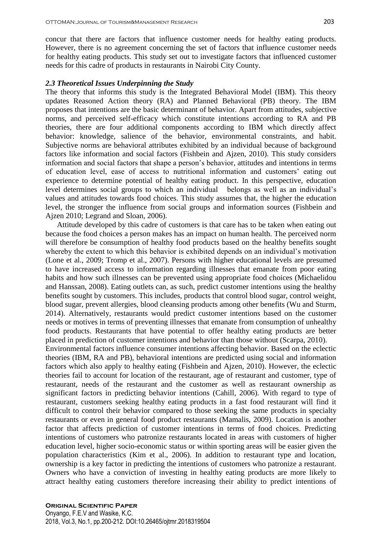concur that there are factors that influence customer needs for healthy eating products. However, there is no agreement concerning the set of factors that influence customer needs for healthy eating products. This study set out to investigate factors that influenced customer needs for this cadre of products in restaurants in Nairobi City County.

#### *2.3 Theoretical Issues Underpinning the Study*

The theory that informs this study is the Integrated Behavioral Model (IBM). This theory updates Reasoned Action theory (RA) and Planned Behavioral (PB) theory. The IBM proposes that intentions are the basic determinant of behavior. Apart from attitudes, subjective norms, and perceived self-efficacy which constitute intentions according to RA and PB theories, there are four additional components according to IBM which directly affect behavior: knowledge, salience of the behavior, environmental constraints, and habit. Subjective norms are behavioral attributes exhibited by an individual because of background factors like information and social factors (Fishbein and Ajzen, 2010). This study considers information and social factors that shape a person's behavior, attitudes and intentions in terms of education level, ease of access to nutritional information and customers' eating out experience to determine potential of healthy eating product. In this perspective, education level determines social groups to which an individual belongs as well as an individual's values and attitudes towards food choices. This study assumes that, the higher the education level, the stronger the influence from social groups and information sources (Fishbein and Ajzen 2010; Legrand and Sloan, 2006).

 Attitude developed by this cadre of customers is that care has to be taken when eating out because the food choices a person makes has an impact on human health. The perceived norm will therefore be consumption of healthy food products based on the healthy benefits sought whereby the extent to which this behavior is exhibited depends on an individual's motivation (Lone et al., 2009; Tromp et al., 2007). Persons with higher educational levels are presumed to have increased access to information regarding illnesses that emanate from poor eating habits and how such illnesses can be prevented using appropriate food choices (Michaelidou and Hanssan, 2008). Eating outlets can, as such, predict customer intentions using the healthy benefits sought by customers. This includes, products that control blood sugar, control weight, blood sugar, prevent allergies, blood cleansing products among other benefits (Wu and Sturm, 2014). Alternatively, restaurants would predict customer intentions based on the customer needs or motives in terms of preventing illnesses that emanate from consumption of unhealthy food products. Restaurants that have potential to offer healthy eating products are better placed in prediction of customer intentions and behavior than those without (Scarpa, 2010). Environmental factors influence consumer intentions affecting behavior. Based on the eclectic theories (IBM, RA and PB), behavioral intentions are predicted using social and information factors which also apply to healthy eating (Fishbein and Ajzen, 2010). However, the eclectic theories fail to account for location of the restaurant, age of restaurant and customer, type of restaurant, needs of the restaurant and the customer as well as restaurant ownership as significant factors in predicting behavior intentions (Cahill, 2006). With regard to type of restaurant, customers seeking healthy eating products in a fast food restaurant will find it difficult to control their behavior compared to those seeking the same products in specialty restaurants or even in general food product restaurants (Mamalis, 2009). Location is another factor that affects prediction of customer intentions in terms of food choices. Predicting intentions of customers who patronize restaurants located in areas with customers of higher education level, higher socio-economic status or within sporting areas will be easier given the population characteristics (Kim et al., 2006). In addition to restaurant type and location, ownership is a key factor in predicting the intentions of customers who patronize a restaurant. Owners who have a conviction of investing in healthy eating products are more likely to attract healthy eating customers therefore increasing their ability to predict intentions of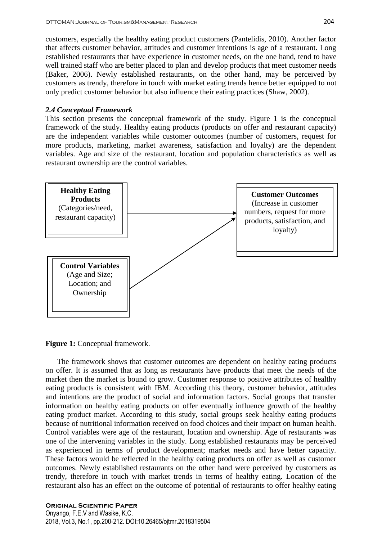customers, especially the healthy eating product customers (Pantelidis, 2010). Another factor that affects customer behavior, attitudes and customer intentions is age of a restaurant. Long established restaurants that have experience in customer needs, on the one hand, tend to have well trained staff who are better placed to plan and develop products that meet customer needs (Baker, 2006). Newly established restaurants, on the other hand, may be perceived by customers as trendy, therefore in touch with market eating trends hence better equipped to not only predict customer behavior but also influence their eating practices (Shaw, 2002).

#### *2.4 Conceptual Framework*

This section presents the conceptual framework of the study. Figure 1 is the conceptual framework of the study. Healthy eating products (products on offer and restaurant capacity) are the independent variables while customer outcomes (number of customers, request for more products, marketing, market awareness, satisfaction and loyalty) are the dependent variables. Age and size of the restaurant, location and population characteristics as well as restaurant ownership are the control variables.



**Figure 1:** Conceptual framework.

 The framework shows that customer outcomes are dependent on healthy eating products on offer. It is assumed that as long as restaurants have products that meet the needs of the market then the market is bound to grow. Customer response to positive attributes of healthy eating products is consistent with IBM. According this theory, customer behavior, attitudes and intentions are the product of social and information factors. Social groups that transfer information on healthy eating products on offer eventually influence growth of the healthy eating product market. According to this study, social groups seek healthy eating products because of nutritional information received on food choices and their impact on human health. Control variables were age of the restaurant, location and ownership. Age of restaurants was one of the intervening variables in the study. Long established restaurants may be perceived as experienced in terms of product development; market needs and have better capacity. These factors would be reflected in the healthy eating products on offer as well as customer outcomes. Newly established restaurants on the other hand were perceived by customers as trendy, therefore in touch with market trends in terms of healthy eating. Location of the restaurant also has an effect on the outcome of potential of restaurants to offer healthy eating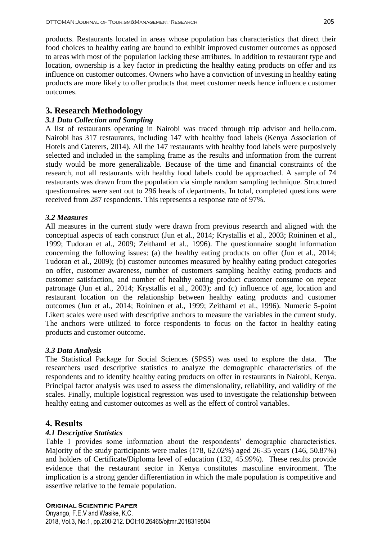products. Restaurants located in areas whose population has characteristics that direct their food choices to healthy eating are bound to exhibit improved customer outcomes as opposed to areas with most of the population lacking these attributes. In addition to restaurant type and location, ownership is a key factor in predicting the healthy eating products on offer and its influence on customer outcomes. Owners who have a conviction of investing in healthy eating products are more likely to offer products that meet customer needs hence influence customer outcomes.

# **3. Research Methodology**

# *3.1 Data Collection and Sampling*

A list of restaurants operating in Nairobi was traced through trip advisor and hello.com. Nairobi has 317 restaurants, including 147 with healthy food labels (Kenya Association of Hotels and Caterers, 2014). All the 147 restaurants with healthy food labels were purposively selected and included in the sampling frame as the results and information from the current study would be more generalizable. Because of the time and financial constraints of the research, not all restaurants with healthy food labels could be approached. A sample of 74 restaurants was drawn from the population via simple random sampling technique. Structured questionnaires were sent out to 296 heads of departments. In total, completed questions were received from 287 respondents. This represents a response rate of 97%.

## *3.2 Measures*

All measures in the current study were drawn from previous research and aligned with the conceptual aspects of each construct (Jun et al., 2014; Krystallis et al., 2003; Roininen et al., 1999; Tudoran et al., 2009; Zeithaml et al., 1996). The questionnaire sought information concerning the following issues: (a) the healthy eating products on offer (Jun et al., 2014; Tudoran et al., 2009); (b) customer outcomes measured by healthy eating product categories on offer, customer awareness, number of customers sampling healthy eating products and customer satisfaction, and number of healthy eating product customer consume on repeat patronage (Jun et al., 2014; Krystallis et al., 2003); and (c) influence of age, location and restaurant location on the relationship between healthy eating products and customer outcomes (Jun et al., 2014; Roininen et al., 1999; Zeithaml et al., 1996). Numeric 5-point Likert scales were used with descriptive anchors to measure the variables in the current study. The anchors were utilized to force respondents to focus on the factor in healthy eating products and customer outcome.

## *3.3 Data Analysis*

The Statistical Package for Social Sciences (SPSS) was used to explore the data. The researchers used descriptive statistics to analyze the demographic characteristics of the respondents and to identify healthy eating products on offer in restaurants in Nairobi, Kenya. Principal factor analysis was used to assess the dimensionality, reliability, and validity of the scales. Finally, multiple logistical regression was used to investigate the relationship between healthy eating and customer outcomes as well as the effect of control variables.

# **4. Results**

## *4.1 Descriptive Statistics*

Table 1 provides some information about the respondents' demographic characteristics. Majority of the study participants were males (178, 62.02%) aged 26-35 years (146, 50.87%) and holders of Certificate/Diploma level of education (132, 45.99%). These results provide evidence that the restaurant sector in Kenya constitutes masculine environment. The implication is a strong gender differentiation in which the male population is competitive and assertive relative to the female population.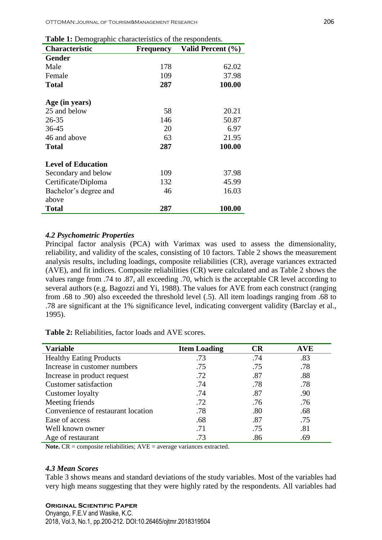| <b>rapic 1.</b> Demographic enaracteristics of the respondents. |                  |                   |  |  |  |  |
|-----------------------------------------------------------------|------------------|-------------------|--|--|--|--|
| <b>Characteristic</b>                                           | <b>Frequency</b> | Valid Percent (%) |  |  |  |  |
| <b>Gender</b>                                                   |                  |                   |  |  |  |  |
| Male                                                            | 178              | 62.02             |  |  |  |  |
| Female                                                          | 109              | 37.98             |  |  |  |  |
| <b>Total</b>                                                    | 287              | 100.00            |  |  |  |  |
| Age (in years)                                                  |                  |                   |  |  |  |  |
| 25 and below                                                    | 58               | 20.21             |  |  |  |  |
| 26-35                                                           | 146              | 50.87             |  |  |  |  |
| $36 - 45$                                                       | 20               | 6.97              |  |  |  |  |
| 46 and above                                                    | 63               | 21.95             |  |  |  |  |
| <b>Total</b>                                                    | 287              | 100.00            |  |  |  |  |
| <b>Level of Education</b>                                       |                  |                   |  |  |  |  |
| Secondary and below                                             | 109              | 37.98             |  |  |  |  |
| Certificate/Diploma                                             | 132              | 45.99             |  |  |  |  |
| Bachelor's degree and                                           | 46               | 16.03             |  |  |  |  |
| above                                                           |                  |                   |  |  |  |  |
| <b>Total</b>                                                    | 287              | 100.00            |  |  |  |  |

**Table 1:** Demographic characteristics of the respondents.

#### *4.2 Psychometric Properties*

Principal factor analysis (PCA) with Varimax was used to assess the dimensionality, reliability, and validity of the scales, consisting of 10 factors. Table 2 shows the measurement analysis results, including loadings, composite reliabilities (CR), average variances extracted (AVE), and fit indices. Composite reliabilities (CR) were calculated and as Table 2 shows the values range from .74 to .87, all exceeding .70, which is the acceptable CR level according to several authors (e.g. Bagozzi and Yi, 1988). The values for AVE from each construct (ranging from .68 to .90) also exceeded the threshold level (.5). All item loadings ranging from .68 to .78 are significant at the 1% significance level, indicating convergent validity (Barclay et al., 1995).

**Table 2:** Reliabilities, factor loads and AVE scores.

| <b>Variable</b>                    | <b>Item Loading</b> | CR  | <b>AVE</b> |
|------------------------------------|---------------------|-----|------------|
| <b>Healthy Eating Products</b>     | .73                 | .74 | .83        |
| Increase in customer numbers       | .75                 | .75 | .78        |
| Increase in product request        | .72                 | .87 | .88        |
| <b>Customer</b> satisfaction       | .74                 | .78 | .78        |
| Customer loyalty                   | .74                 | .87 | .90        |
| Meeting friends                    | .72                 | .76 | .76        |
| Convenience of restaurant location | .78                 | .80 | .68        |
| Ease of access                     | .68                 | .87 | .75        |
| Well known owner                   | .71                 | .75 | .81        |
| Age of restaurant                  | .73                 | .86 | .69        |

**Note.**  $CR = \text{composite reliabilities}$ ;  $AVE = \text{average variances extracted}$ .

#### *4.3 Mean Scores*

Table 3 shows means and standard deviations of the study variables. Most of the variables had very high means suggesting that they were highly rated by the respondents. All variables had

### **Original Scientific Paper**

Onyango, F.E.V and Wasike, K.C. 2018, Vol.3, No.1, pp.200-212. DOI:10.26465/ojtmr.2018319504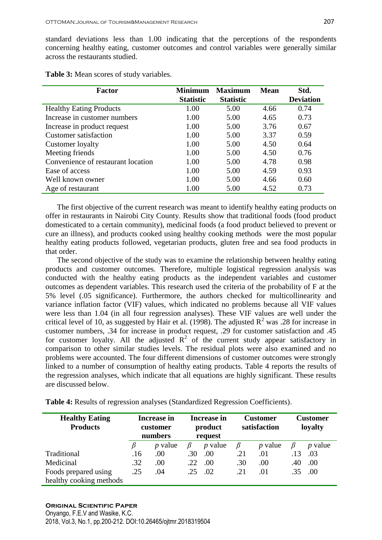standard deviations less than 1.00 indicating that the perceptions of the respondents concerning healthy eating, customer outcomes and control variables were generally similar across the restaurants studied.

| Factor                             | <b>Minimum</b><br><b>Maximum</b> |                  | <b>Mean</b> | Std.             |
|------------------------------------|----------------------------------|------------------|-------------|------------------|
|                                    | <b>Statistic</b>                 | <b>Statistic</b> |             | <b>Deviation</b> |
| <b>Healthy Eating Products</b>     | 1.00                             | 5.00             | 4.66        | 0.74             |
| Increase in customer numbers       | 1.00                             | 5.00             | 4.65        | 0.73             |
| Increase in product request        | 1.00                             | 5.00             | 3.76        | 0.67             |
| <b>Customer satisfaction</b>       | 1.00                             | 5.00             | 3.37        | 0.59             |
| Customer loyalty                   | 1.00                             | 5.00             | 4.50        | 0.64             |
| Meeting friends                    | 1.00                             | 5.00             | 4.50        | 0.76             |
| Convenience of restaurant location | 1.00                             | 5.00             | 4.78        | 0.98             |
| Ease of access                     | 1.00                             | 5.00             | 4.59        | 0.93             |
| Well known owner                   | 1.00                             | 5.00             | 4.66        | 0.60             |
| Age of restaurant                  | 1.00                             | 5.00             | 4.52        | 0.73             |

**Table 3:** Mean scores of study variables.

 The first objective of the current research was meant to identify healthy eating products on offer in restaurants in Nairobi City County. Results show that traditional foods (food product domesticated to a certain community), medicinal foods (a food product believed to prevent or cure an illness), and products cooked using healthy cooking methods were the most popular healthy eating products followed, vegetarian products, gluten free and sea food products in that order.

 The second objective of the study was to examine the relationship between healthy eating products and customer outcomes. Therefore, multiple logistical regression analysis was conducted with the healthy eating products as the independent variables and customer outcomes as dependent variables. This research used the criteria of the probability of F at the 5% level (.05 significance). Furthermore, the authors checked for multicollinearity and variance inflation factor (VIF) values, which indicated no problems because all VIF values were less than 1.04 (in all four regression analyses). These VIF values are well under the critical level of 10, as suggested by Hair et al. (1998). The adjusted  $R^2$  was .28 for increase in customer numbers, .34 for increase in product request, .29 for customer satisfaction and .45 for customer loyalty. All the adjusted  $\mathbb{R}^2$  of the current study appear satisfactory in comparison to other similar studies levels. The residual plots were also examined and no problems were accounted. The four different dimensions of customer outcomes were strongly linked to a number of consumption of healthy eating products. Table 4 reports the results of the regression analyses, which indicate that all equations are highly significant. These results are discussed below.

**Table 4:** Results of regression analyses (Standardized Regression Coefficients).

| <b>Healthy Eating</b><br><b>Products</b> | <b>Increase in</b><br>customer<br>numbers |           | Increase in<br>product<br>request |                | <b>Customer</b><br>satisfaction |                | Customer<br>loyalty |                |
|------------------------------------------|-------------------------------------------|-----------|-----------------------------------|----------------|---------------------------------|----------------|---------------------|----------------|
|                                          |                                           | $p$ value |                                   | <i>p</i> value | B                               | <i>p</i> value | B                   | <i>p</i> value |
| Traditional                              | .16                                       | .00       | .30                               | .00.           | .21                             | .01            | .13                 | .03            |
| Medicinal                                | .32                                       | .00.      | .22                               | .00.           | .30                             | .00            | .40                 | .00            |
| Foods prepared using                     | .25                                       | .04       | .25                               | .02            | .21                             | .01            | .35                 | .00            |
| healthy cooking methods                  |                                           |           |                                   |                |                                 |                |                     |                |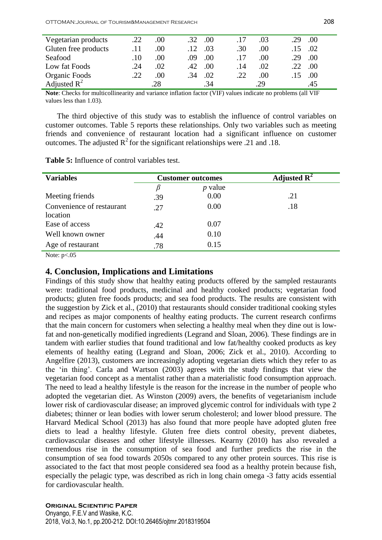| Vegetarian products  | .22 | .00 | .00<br>.32             |     | .03 | $.00\,$<br>29 |
|----------------------|-----|-----|------------------------|-----|-----|---------------|
| Gluten free products | .11 | .00 | .03<br>$\overline{12}$ | .30 | .00 | .02           |
| Seafood              | .10 | .00 | .00<br>.09             |     | .00 | .00<br>29     |
| Low fat Foods        | .24 | .02 | .00<br>42 <sub>1</sub> | .14 | .02 | .00           |
| Organic Foods        | .22 | .00 | .02<br>.34             | .22 | .00 | .00           |
| Adjusted $R^2$       |     | .28 | .34                    |     | .29 |               |

**Note**: Checks for multicollinearity and variance inflation factor (VIF) values indicate no problems (all VIF values less than 1.03).

 The third objective of this study was to establish the influence of control variables on customer outcomes. Table 5 reports these relationships. Only two variables such as meeting friends and convenience of restaurant location had a significant influence on customer outcomes. The adjusted  $R^2$  for the significant relationships were .21 and .18.

**Table 5:** Influence of control variables test.

| <b>Variables</b>          |     | <b>Customer outcomes</b> | Adjusted $\mathbb{R}^2$ |
|---------------------------|-----|--------------------------|-------------------------|
|                           | B   | $p$ value                |                         |
| Meeting friends           | .39 | 0.00                     | .21                     |
| Convenience of restaurant | .27 | 0.00                     | .18                     |
| location                  |     |                          |                         |
| Ease of access            | .42 | 0.07                     |                         |
| Well known owner          | .44 | 0.10                     |                         |
| Age of restaurant         | .78 | 0.15                     |                         |
| $\mathbf{v}$              |     |                          |                         |

Note:  $p<.05$ 

### **4. Conclusion, Implications and Limitations**

Findings of this study show that healthy eating products offered by the sampled restaurants were: traditional food products, medicinal and healthy cooked products; vegetarian food products; gluten free foods products; and sea food products. The results are consistent with the suggestion by Zick et al., (2010) that restaurants should consider traditional cooking styles and recipes as major components of healthy eating products. The current research confirms that the main concern for customers when selecting a healthy meal when they dine out is lowfat and non-genetically modified ingredients (Legrand and Sloan, 2006)*.* These findings are in tandem with earlier studies that found traditional and low fat/healthy cooked products as key elements of healthy eating (Legrand and Sloan, 2006; Zick et al., 2010). According to Angelfire (2013), customers are increasingly adopting vegetarian diets which they refer to as the ‗in thing'. Carla and Wartson (2003) agrees with the study findings that view the vegetarian food concept as a mentalist rather than a materialistic food consumption approach. The need to lead a healthy lifestyle is the reason for the increase in the number of people who adopted the vegetarian diet. As Winston (2009) avers, the benefits of vegetarianism include lower risk of cardiovascular disease; an improved glycemic control for individuals with type 2 diabetes; thinner or lean bodies with lower serum cholesterol; and lower blood pressure. The Harvard Medical School (2013) has also found that more people have adopted gluten free diets to lead a healthy lifestyle. Gluten free diets control obesity, prevent diabetes, cardiovascular diseases and other lifestyle illnesses. Kearny (2010) has also revealed a tremendous rise in the consumption of sea food and further predicts the rise in the consumption of sea food towards 2050s compared to any other protein sources. This rise is associated to the fact that most people considered sea food as a healthy protein because fish, especially the pelagic type, was described as rich in long chain omega -3 fatty acids essential for cardiovascular health.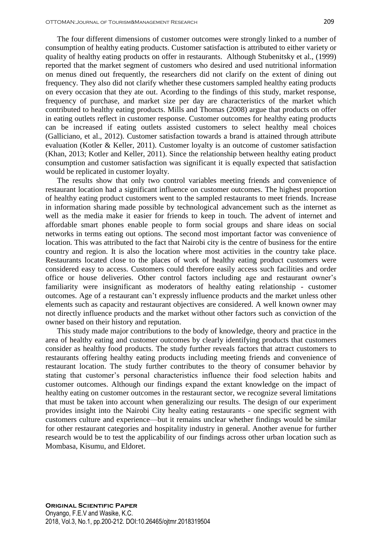The four different dimensions of customer outcomes were strongly linked to a number of consumption of healthy eating products. Customer satisfaction is attributed to either variety or quality of healthy eating products on offer in restaurants. Although Stubenitsky et al., (1999) reported that the market segment of customers who desired and used nutritional information on menus dined out frequently, the researchers did not clarify on the extent of dining out frequency. They also did not clarify whether these customers sampled healthy eating products on every occasion that they ate out. Acording to the findings of this study, market response, frequency of purchase, and market size per day are characteristics of the market which contributed to healthy eating products. Mills and Thomas (2008) argue that products on offer in eating outlets reflect in customer response. Customer outcomes for healthy eating products can be increased if eating outlets assisted customers to select healthy meal choices (Galliciano, et al., 2012). Customer satisfaction towards a brand is attained through attribute evaluation (Kotler & Keller, 2011). Customer loyalty is an outcome of customer satisfaction (Khan, 2013; Kotler and Keller, 2011). Since the relationship between healthy eating product consumption and customer satisfaction was significant it is equally expected that satisfaction would be replicated in customer loyalty.

 The results show that only two control variables meeting friends and convenience of restaurant location had a significant influence on customer outcomes. The highest proportion of healthy eating product customers went to the sampled restaurants to meet friends. Increase in information sharing made possible by technological advancement such as the internet as well as the media make it easier for friends to keep in touch. The advent of internet and affordable smart phones enable people to form social groups and share ideas on social networks in terms eating out options. The second most important factor was convenience of location. This was attributed to the fact that Nairobi city is the centre of business for the entire country and region. It is also the location where most activities in the country take place. Restaurants located close to the places of work of healthy eating product customers were considered easy to access. Customers could therefore easily access such facilities and order office or house deliveries. Other control factors including age and restaurant owner's familiarity were insignificant as moderators of healthy eating relationship - customer outcomes. Age of a restaurant can't expressly influence products and the market unless other elements such as capacity and restaurant objectives are considered. A well known owner may not directly influence products and the market without other factors such as conviction of the owner based on their history and reputation.

 This study made major contributions to the body of knowledge, theory and practice in the area of healthy eating and customer outcomes by clearly identifying products that customers consider as healthy food products. The study further reveals factors that attract customers to restaurants offering healthy eating products including meeting friends and convenience of restaurant location. The study further contributes to the theory of consumer behavior by stating that customer's personal characteristics influence their food selection habits and customer outcomes. Although our findings expand the extant knowledge on the impact of healthy eating on customer outcomes in the restaurant sector, we recognize several limitations that must be taken into account when generalizing our results. The design of our experiment provides insight into the Nairobi City healty eating restaurants - one specific segment with customers culture and experience—but it remains unclear whether findings would be similar for other restaurant categories and hospitality industry in general. Another avenue for further research would be to test the applicability of our findings across other urban location such as Mombasa, Kisumu, and Eldoret.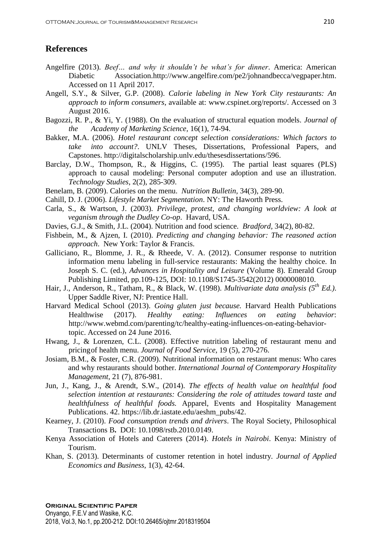# **References**

- Angelfire (2013). *Beef… and why it shouldn't be what's for dinner*. America: American Diabetic Association[.http://www.angelfire.com/pe2/johnandbecca/vegpaper.htm.](http://www.angelfire.com/pe2/johnandbecca/vegpaper.htm) Accessed on 11 April 2017.
- Angell, S.Y., & Silver, G.P. (2008). *Calorie labeling in New York City restaurants: An approach to inform consumers*, available at: [www.cspinet.org/reports/.](http://www.cspinet.org/reports/) Accessed on 3 August 2016.
- Bagozzi, R. P., & Yi, Y. (1988). On the evaluation of structural equation models. *Journal of the Academy of Marketing Science,* 16(1), 74-94.
- Bakker, M.A. (2006). *Hotel restaurant concept selection considerations: Which factors to take into account?*. UNLV Theses, Dissertations, Professional Papers, and Capstones. [http://digitalscholarship.unlv.edu/thesesdissertations/596.](http://digitalscholarship.unlv.edu/thesesdissertations/596)
- Barclay, D.W., Thompson, R., & Higgins, C. (1995). The partial least squares (PLS) approach to causal modeling: Personal computer adoption and use an illustration. *Technology Studies*, 2(2), 285-309.
- Benelam, B. (2009). Calories on the menu. *Nutrition Bulletin*, 34(3), 289-90.
- Cahill, D. J. (2006). *Lifestyle Market Segmentation*. NY: The Haworth Press.
- Carla, S., & Wartson, J. (2003). *Privilege, protest, and changing worldview: A look at veganism through the Dudley Co-op*. Havard, USA.
- Davies, G.J., & Smith, J.L. (2004). Nutrition and food science. *Bradford,* 34(2), 80-82.
- Fishbein, M., & Ajzen, I. (2010). *Predicting and changing behavior: The reasoned action approach*. New York: Taylor & Francis.
- Galliciano, R., Blomme, J. R., & Rheede, V. A. (2012). Consumer response to nutrition information menu labeling in full-service restaurants: Making the healthy choice. In Joseph S. C. (ed.), *Advances in Hospitality and Leisure* (Volume 8). Emerald Group Publishing Limited, pp.109-125, DOI: [10.1108/S1745-3542\(2012\) 0000008010.](http://dx.doi.org/10.1108/S1745-3542(2012)0000008010)
- Hair, J., Anderson, R., Tatham, R., & Black, W. (1998). *Multivariate data analysis (5th Ed.)*. Upper Saddle River, NJ: Prentice Hall.
- Harvard Medical School (2013). *Going gluten just because.* Harvard Health Publications Healthwise (2017). *Healthy eating: Influences on eating behavior*: [http://www.webmd.com/parenting/tc/healthy-eating-influences-on-eating-behavior](http://www.webmd.com/parenting/tc/healthy-eating-influences-on-eating-behavior-topic)[topic.](http://www.webmd.com/parenting/tc/healthy-eating-influences-on-eating-behavior-topic) Accessed on 24 June 2016.
- Hwang, J., & Lorenzen, C.L. (2008). Effective nutrition labeling of restaurant menu and pricingof health menu. *Journal of Food Service*, 19 (5), 270-276.
- Josiam, B.M., & Foster, C.R. (2009). Nutritional information on restaurant menus: Who cares and why restaurants should bother. *International Journal of Contemporary Hospitality Management,* 21 (7), 876**-**981.
- Jun, J., Kang, J., & Arendt, S.W., (2014). *The effects of health value on healthful food selection intention at restaurants: Considering the role of attitudes toward taste and healthfulness of healthful foods.* Apparel, Events and Hospitality Management Publications. 42. [https://lib.dr.iastate.edu/aeshm\\_pubs/42.](https://lib.dr.iastate.edu/aeshm_pubs/42)
- Kearney, J. (2010). *Food consumption trends and drivers*. The Royal Society, [Philosophical](http://rstb.royalsocietypublishing.org/) [Transactions B](http://rstb.royalsocietypublishing.org/)**.** DOI: 10.1098/rstb.2010.0149.
- Kenya Association of Hotels and Caterers (2014). *Hotels in Nairobi*. Kenya: Ministry of Tourism.
- Khan, S. (2013). Determinants of customer retention in hotel industry. *Journal of Applied Economics and Business,* 1(3), 42-64.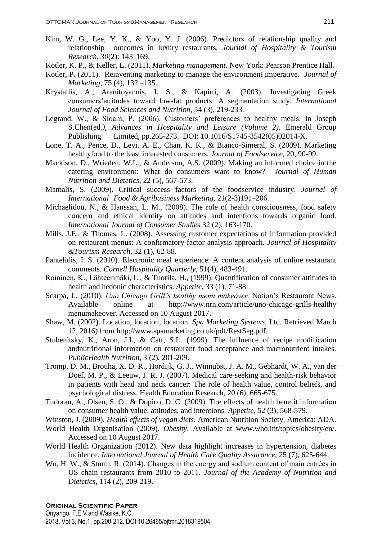- Kim, W. G., Lee, Y. K., & Yoo, Y. J. (2006). Predictors of relationship quality and relationship outcomes in luxury restaurants. *Journal of Hospitality & Tourism Research*, *30*(2): 143 169.
- Kotler, K. P., & Keller, L. (2011). *Marketing management*. New York: Pearson Prentice Hall.
- Kotler, P. (2011). Reinventing marketing to manage the environment imperative. *Journal of Marketing,* 75 (4), 132 –135.
- Krystallis, A., Aranitoyannis, I. S., & Kapirti, A. (2003). Investigating Greek consumers'attitudes toward low-fat products: A segmentation study. *International Journal of Food Sciences and Nutrition,* 54 (3), 219-233.
- Legrand, W., & Sloam, P. (2006). Customers' preferences to healthy meals. In Joseph S.Chen(ed*.), Advances in Hospitality and Leisure (Volume 2).* Emerald Group Publishing Limited, pp.265-273. DOI: [10.1016/S1745-3542\(05\)02014-X.](http://dx.doi.org/10.1016/S1745-3542(05)02014-X)
- Lone, T. A., Pence, D., Levi, A. E., Chan, K. K., & Bianco-Simeral, S. (2009). Marketing healthyfood to the least interested consumers. *Journal of Foodservice*, 20, 90-99.
- Mackison, D., Wrieden, W.L., & Anderson, A.S. (2009). Making an informed choice in the catering environment: What do consumers want to know? *Journal of Human Nutrition and Dietetics,* 22 (5), 567-573.
- Mamalis, S. (2009). Critical success factors of the foodservice industry. *Journal of International Food & Agribusiness Marketing*, 21(2-3)191–206.
- Michaelidou, N., & Hanssan, L. M., (2008). The role of health consciousness, food safety concern and ethical identity on attitudes and intentions towards organic food. *International Journal of Consumer Studies* 32 (2), 163-170.
- Mills, J.E., & Thomas, L. (2008). Assessing customer expectations of information provided on restaurant menus: A confirmatory factor analysis approach. *Journal of Hospitality &Tourism Research,* 32 (1), 62-88.
- Pantelidis, I. S. (2010). Electronic meal experience: A content analysis of online restaurant comments. *Cornell Hospitality Quarterly,* 51**(**4), 483-491.
- Roininen, K., Lähteenmäki, L., & Tuorila, H., (1999). Quantification of consumer attitudes to health and hedonic characteristics. *Appetite,* 33 (1), 71-88.
- Scarpa, J., (2010). *Uno Chicago Grill's healthy menu makeover.* Nation's Restaurant News. Available online at [http://www.nrn.com/article/uno-chicago-grills-healthy](http://www.nrn.com/article/uno-chicago-grills-healthy%09menumakeover) [menumakeover.](http://www.nrn.com/article/uno-chicago-grills-healthy%09menumakeover) Accessed on 10 August 2017.
- Shaw, M. (2002). Location, location, location. *Spa Marketing Systems*, Ltd. Retrieved March 12, 2016) from http://www.spamarketing.co.uk/pdf/RestSeg.pdf.
- Stubenitsky, K., Aron, J.I., & Catt, S.L. (1999). The influence of recipe modification andnutritional information on restaurant food acceptance and macronutrient intakes. *PublicHealth Nutrition,* 3 (2), 201-209.
- Tromp, D. M., Brouha, X. D. R., Hordijk, G. J., Winnubst, J. A. M., Gebhardt, W. A., van der Doef, M. P., & Leeuw, J. R. J. (2007). Medical care-seeking and health-risk behavior in patients with head and neck cancer: The role of health value, control beliefs, and psychological distress. Health Education Research, 20 (6), 665-675.
- Tudoran, A., Olsen, S. O., & Dopico, D. C. (2009). The effects of health benefit information on consumer health value, attitudes, and intentions. *Appetite,* 52 (3), 568-579.
- Winston, J. (2009). *Health effects of vegan diets*. American Nutrition Society. America: ADA.
- World Health Organisation (2009). *Obesity*. Available at [www.who.int/topics/obesity/en/.](http://www.who.int/topics/obesity/en/) Accessed on 10 August 2017.
- World Health Organization (2012). New data highlight increases in hypertension, diabetes incidence. *International Journal of Health Care Quality Assurance*, 25 (7), 625-644.
- Wu, H. W., & Sturm, R. (2014). Changes in the energy and sodium content of main entrées in US chain restaurants from 2010 to 2011. *Journal of the Academy of Nutrition and Dietetics,* 114 (2), 209-219.